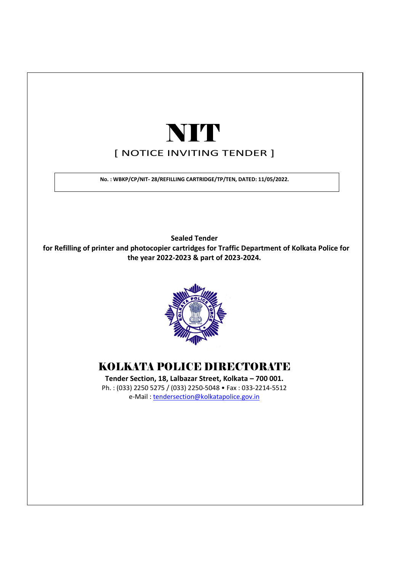# [ NOTICE INVITING TENDER ] NIT

No. : WBKP/CP/NIT- 28/REFILLING CARTRIDGE/TP/TEN, DATED: 11/05/2022.

Sealed Tender for Refilling of printer and photocopier cartridges for Traffic Department of Kolkata Police for the year 2022-2023 & part of 2023-2024.



## KOLKATA POLICE DIRECTORATE

Tender Section, 18, Lalbazar Street, Kolkata – 700 001. Ph. : (033) 2250 5275 / (033) 2250-5048 • Fax : 033-2214-5512 e-Mail : tendersection@kolkatapolice.gov.in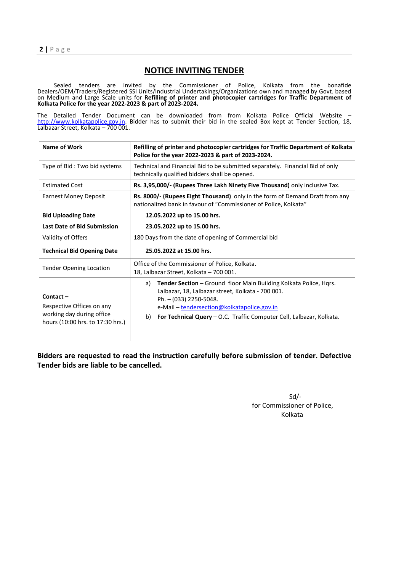$2 | P \text{ age}$ 

#### NOTICE INVITING TENDER

 Sealed tenders are invited by the Commissioner of Police, Kolkata from the bonafide Dealers/OEM/Traders/Registered SSI Units/Industrial Undertakings/Organizations own and managed by Govt. based on Medium and Large Scale units for Refilling of printer and photocopier cartridges for Traffic Department of Kolkata Police for the year 2022-2023 & part of 2023-2024.

The Detailed Tender Document can be downloaded from from Kolkata Police Official Website – http://www.kolkatapolice.gov.in. Bidder has to submit their bid in the sealed Box kept at Tender Section, 18, Lalbazar Street, Kolkata – 700 001.

| Name of Work                                                                                              | Refilling of printer and photocopier cartridges for Traffic Department of Kolkata<br>Police for the year 2022-2023 & part of 2023-2024.                                                                                                                                             |  |  |
|-----------------------------------------------------------------------------------------------------------|-------------------------------------------------------------------------------------------------------------------------------------------------------------------------------------------------------------------------------------------------------------------------------------|--|--|
| Type of Bid: Two bid systems                                                                              | Technical and Financial Bid to be submitted separately. Financial Bid of only<br>technically qualified bidders shall be opened.                                                                                                                                                     |  |  |
| <b>Estimated Cost</b>                                                                                     | Rs. 3,95,000/- (Rupees Three Lakh Ninety Five Thousand) only inclusive Tax.                                                                                                                                                                                                         |  |  |
| <b>Earnest Money Deposit</b>                                                                              | Rs. 8000/- (Rupees Eight Thousand) only in the form of Demand Draft from any<br>nationalized bank in favour of "Commissioner of Police, Kolkata"                                                                                                                                    |  |  |
| <b>Bid Uploading Date</b>                                                                                 | 12.05.2022 up to 15.00 hrs.                                                                                                                                                                                                                                                         |  |  |
| <b>Last Date of Bid Submission</b>                                                                        | 23.05.2022 up to 15.00 hrs.                                                                                                                                                                                                                                                         |  |  |
| Validity of Offers                                                                                        | 180 Days from the date of opening of Commercial bid                                                                                                                                                                                                                                 |  |  |
| <b>Technical Bid Opening Date</b>                                                                         | 25.05.2022 at 15.00 hrs.                                                                                                                                                                                                                                                            |  |  |
| <b>Tender Opening Location</b>                                                                            | Office of the Commissioner of Police, Kolkata.<br>18, Lalbazar Street, Kolkata - 700 001.                                                                                                                                                                                           |  |  |
| $Content -$<br>Respective Offices on any<br>working day during office<br>hours (10:00 hrs. to 17:30 hrs.) | Tender Section - Ground floor Main Building Kolkata Police, Hqrs.<br>a)<br>Lalbazar, 18, Lalbazar street, Kolkata - 700 001.<br>Ph. - (033) 2250-5048.<br>e-Mail - tendersection@kolkatapolice.gov.in<br>For Technical Query – O.C. Traffic Computer Cell, Lalbazar, Kolkata.<br>b) |  |  |

Bidders are requested to read the instruction carefully before submission of tender. Defective Tender bids are liable to be cancelled.

> Sd/ for Commissioner of Police, Kolkata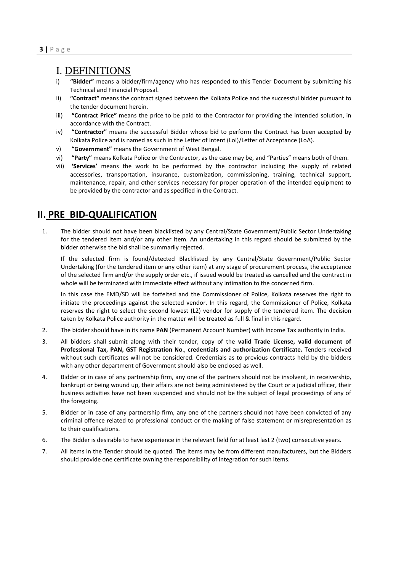## I. DEFINITIONS

- i) "Bidder" means a bidder/firm/agency who has responded to this Tender Document by submitting his Technical and Financial Proposal.
- ii) "Contract" means the contract signed between the Kolkata Police and the successful bidder pursuant to the tender document herein.
- iii) "Contract Price" means the price to be paid to the Contractor for providing the intended solution, in accordance with the Contract.
- iv) "Contractor" means the successful Bidder whose bid to perform the Contract has been accepted by Kolkata Police and is named as such in the Letter of Intent (LoI)/Letter of Acceptance (LoA).
- v) "Government" means the Government of West Bengal.
- vi) "Party" means Kolkata Police or the Contractor, as the case may be, and "Parties" means both of them.
- vii) 'Services' means the work to be performed by the contractor including the supply of related accessories, transportation, insurance, customization, commissioning, training, technical support, maintenance, repair, and other services necessary for proper operation of the intended equipment to be provided by the contractor and as specified in the Contract.

## II. PRE BID-QUALIFICATION

1. The bidder should not have been blacklisted by any Central/State Government/Public Sector Undertaking for the tendered item and/or any other item. An undertaking in this regard should be submitted by the bidder otherwise the bid shall be summarily rejected.

 If the selected firm is found/detected Blacklisted by any Central/State Government/Public Sector Undertaking (for the tendered item or any other item) at any stage of procurement process, the acceptance of the selected firm and/or the supply order etc., if issued would be treated as cancelled and the contract in whole will be terminated with immediate effect without any intimation to the concerned firm.

 In this case the EMD/SD will be forfeited and the Commissioner of Police, Kolkata reserves the right to initiate the proceedings against the selected vendor. In this regard, the Commissioner of Police, Kolkata reserves the right to select the second lowest (L2) vendor for supply of the tendered item. The decision taken by Kolkata Police authority in the matter will be treated as full & final in this regard.

- 2. The bidder should have in its name PAN (Permanent Account Number) with Income Tax authority in India.
- 3. All bidders shall submit along with their tender, copy of the valid Trade License, valid document of Professional Tax, PAN, GST Registration No., credentials and authorization Certificate. Tenders received without such certificates will not be considered. Credentials as to previous contracts held by the bidders with any other department of Government should also be enclosed as well.
- 4. Bidder or in case of any partnership firm, any one of the partners should not be insolvent, in receivership, bankrupt or being wound up, their affairs are not being administered by the Court or a judicial officer, their business activities have not been suspended and should not be the subject of legal proceedings of any of the foregoing.
- 5. Bidder or in case of any partnership firm, any one of the partners should not have been convicted of any criminal offence related to professional conduct or the making of false statement or misrepresentation as to their qualifications.
- 6. The Bidder is desirable to have experience in the relevant field for at least last 2 (two) consecutive years.
- 7. All items in the Tender should be quoted. The items may be from different manufacturers, but the Bidders should provide one certificate owning the responsibility of integration for such items.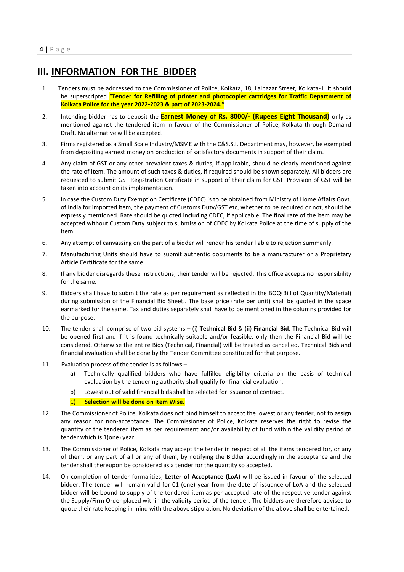## III. INFORMATION FOR THE BIDDER

- 1. Tenders must be addressed to the Commissioner of Police, Kolkata, 18, Lalbazar Street, Kolkata-1. It should be superscripted "Tender for Refilling of printer and photocopier cartridges for Traffic Department of Kolkata Police for the year 2022-2023 & part of 2023-2024."
- 2. Intending bidder has to deposit the **Earnest Money of Rs. 8000/- (Rupees Eight Thousand)** only as mentioned against the tendered item in favour of the Commissioner of Police, Kolkata through Demand Draft. No alternative will be accepted.
- 3. Firms registered as a Small Scale Industry/MSME with the C&S.S.I. Department may, however, be exempted from depositing earnest money on production of satisfactory documents in support of their claim.
- 4. Any claim of GST or any other prevalent taxes & duties, if applicable, should be clearly mentioned against the rate of item. The amount of such taxes & duties, if required should be shown separately. All bidders are requested to submit GST Registration Certificate in support of their claim for GST. Provision of GST will be taken into account on its implementation.
- 5. In case the Custom Duty Exemption Certificate (CDEC) is to be obtained from Ministry of Home Affairs Govt. of India for imported item, the payment of Customs Duty/GST etc, whether to be required or not, should be expressly mentioned. Rate should be quoted including CDEC, if applicable. The final rate of the item may be accepted without Custom Duty subject to submission of CDEC by Kolkata Police at the time of supply of the item.
- 6. Any attempt of canvassing on the part of a bidder will render his tender liable to rejection summarily.
- 7. Manufacturing Units should have to submit authentic documents to be a manufacturer or a Proprietary Article Certificate for the same.
- 8. If any bidder disregards these instructions, their tender will be rejected. This office accepts no responsibility for the same.
- 9. Bidders shall have to submit the rate as per requirement as reflected in the BOQ(Bill of Quantity/Material) during submission of the Financial Bid Sheet.. The base price (rate per unit) shall be quoted in the space earmarked for the same. Tax and duties separately shall have to be mentioned in the columns provided for the purpose.
- 10. The tender shall comprise of two bid systems (i) Technical Bid & (ii) Financial Bid. The Technical Bid will be opened first and if it is found technically suitable and/or feasible, only then the Financial Bid will be considered. Otherwise the entire Bids (Technical, Financial) will be treated as cancelled. Technical Bids and financial evaluation shall be done by the Tender Committee constituted for that purpose.
- 11. Evaluation process of the tender is as follows
	- a) Technically qualified bidders who have fulfilled eligibility criteria on the basis of technical evaluation by the tendering authority shall qualify for financial evaluation.
	- b) Lowest out of valid financial bids shall be selected for issuance of contract.
	- C) Selection will be done on Item Wise.
- 12. The Commissioner of Police, Kolkata does not bind himself to accept the lowest or any tender, not to assign any reason for non-acceptance. The Commissioner of Police, Kolkata reserves the right to revise the quantity of the tendered item as per requirement and/or availability of fund within the validity period of tender which is 1(one) year.
- 13. The Commissioner of Police, Kolkata may accept the tender in respect of all the items tendered for, or any of them, or any part of all or any of them, by notifying the Bidder accordingly in the acceptance and the tender shall thereupon be considered as a tender for the quantity so accepted.
- 14. On completion of tender formalities, Letter of Acceptance (LoA) will be issued in favour of the selected bidder. The tender will remain valid for 01 (one) year from the date of issuance of LoA and the selected bidder will be bound to supply of the tendered item as per accepted rate of the respective tender against the Supply/Firm Order placed within the validity period of the tender. The bidders are therefore advised to quote their rate keeping in mind with the above stipulation. No deviation of the above shall be entertained.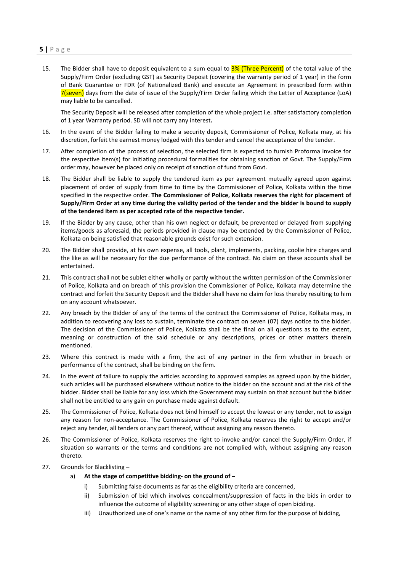15. The Bidder shall have to deposit equivalent to a sum equal to 3% (Three Percent) of the total value of the Supply/Firm Order (excluding GST) as Security Deposit (covering the warranty period of 1 year) in the form of Bank Guarantee or FDR (of Nationalized Bank) and execute an Agreement in prescribed form within 7(seven) days from the date of issue of the Supply/Firm Order failing which the Letter of Acceptance (LoA) may liable to be cancelled.

 The Security Deposit will be released after completion of the whole project i.e. after satisfactory completion of 1 year Warranty period. SD will not carry any interest.

- 16. In the event of the Bidder failing to make a security deposit, Commissioner of Police, Kolkata may, at his discretion, forfeit the earnest money lodged with this tender and cancel the acceptance of the tender.
- 17. After completion of the process of selection, the selected firm is expected to furnish Proforma Invoice for the respective item(s) for initiating procedural formalities for obtaining sanction of Govt. The Supply/Firm order may, however be placed only on receipt of sanction of fund from Govt.
- 18. The Bidder shall be liable to supply the tendered item as per agreement mutually agreed upon against placement of order of supply from time to time by the Commissioner of Police, Kolkata within the time specified in the respective order. The Commissioner of Police, Kolkata reserves the right for placement of Supply/Firm Order at any time during the validity period of the tender and the bidder is bound to supply of the tendered item as per accepted rate of the respective tender.
- 19. If the Bidder by any cause, other than his own neglect or default, be prevented or delayed from supplying items/goods as aforesaid, the periods provided in clause may be extended by the Commissioner of Police, Kolkata on being satisfied that reasonable grounds exist for such extension.
- 20. The Bidder shall provide, at his own expense, all tools, plant, implements, packing, coolie hire charges and the like as will be necessary for the due performance of the contract. No claim on these accounts shall be entertained.
- 21. This contract shall not be sublet either wholly or partly without the written permission of the Commissioner of Police, Kolkata and on breach of this provision the Commissioner of Police, Kolkata may determine the contract and forfeit the Security Deposit and the Bidder shall have no claim for loss thereby resulting to him on any account whatsoever.
- 22. Any breach by the Bidder of any of the terms of the contract the Commissioner of Police, Kolkata may, in addition to recovering any loss to sustain, terminate the contract on seven (07) days notice to the bidder. The decision of the Commissioner of Police, Kolkata shall be the final on all questions as to the extent, meaning or construction of the said schedule or any descriptions, prices or other matters therein mentioned.
- 23. Where this contract is made with a firm, the act of any partner in the firm whether in breach or performance of the contract, shall be binding on the firm.
- 24. In the event of failure to supply the articles according to approved samples as agreed upon by the bidder, such articles will be purchased elsewhere without notice to the bidder on the account and at the risk of the bidder. Bidder shall be liable for any loss which the Government may sustain on that account but the bidder shall not be entitled to any gain on purchase made against default.
- 25. The Commissioner of Police, Kolkata does not bind himself to accept the lowest or any tender, not to assign any reason for non-acceptance. The Commissioner of Police, Kolkata reserves the right to accept and/or reject any tender, all tenders or any part thereof, without assigning any reason thereto.
- 26. The Commissioner of Police, Kolkata reserves the right to invoke and/or cancel the Supply/Firm Order, if situation so warrants or the terms and conditions are not complied with, without assigning any reason thereto.
- 27. Grounds for Blacklisting
	- a) At the stage of competitive bidding- on the ground of
		- i) Submitting false documents as far as the eligibility criteria are concerned,
		- ii) Submission of bid which involves concealment/suppression of facts in the bids in order to influence the outcome of eligibility screening or any other stage of open bidding.
		- iii) Unauthorized use of one's name or the name of any other firm for the purpose of bidding,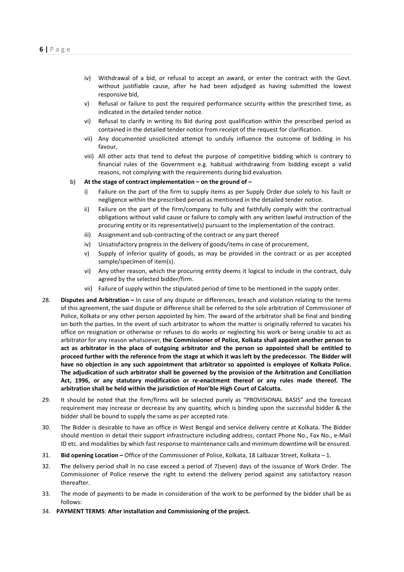- iv) Withdrawal of a bid, or refusal to accept an award, or enter the contract with the Govt. without justifiable cause, after he had been adjudged as having submitted the lowest responsive bid,
- v) Refusal or failure to post the required performance security within the prescribed time, as indicated in the detailed tender notice.
- vi) Refusal to clarify in writing its Bid during post qualification within the prescribed period as contained in the detailed tender notice from receipt of the request for clarification.
- vii) Any documented unsolicited attempt to unduly influence the outcome of bidding in his favour,
- viii) All other acts that tend to defeat the purpose of competitive bidding which is contrary to financial rules of the Government e.g. habitual withdrawing from bidding except a valid reasons, not complying with the requirements during bid evaluation.
- b) At the stage of contract implementation on the ground of
	- i) Failure on the part of the firm to supply items as per Supply Order due solely to his fault or negligence within the prescribed period as mentioned in the detailed tender notice.
	- ii) Failure on the part of the firm/company to fully and faithfully comply with the contractual obligations without valid cause or failure to comply with any written lawful instruction of the procuring entity or its representative(s) pursuant to the implementation of the contract.
	- iii) Assignment and sub-contracting of the contract or any part thereof
	- iv) Unsatisfactory progress in the delivery of goods/items in case of procurement,
	- v) Supply of inferior quality of goods, as may be provided in the contract or as per accepted sample/specimen of item(s).
	- vi) Any other reason, which the procuring entity deems it logical to include in the contract, duly agreed by the selected bidder/firm.
	- vii) Failure of supply within the stipulated period of time to be mentioned in the supply order.
- 28. Disputes and Arbitration In case of any dispute or differences, breach and violation relating to the terms of this agreement, the said dispute or difference shall be referred to the sole arbitration of Commissioner of Police, Kolkata or any other person appointed by him. The award of the arbitrator shall be final and binding on both the parties. In the event of such arbitrator to whom the matter is originally referred to vacates his office on resignation or otherwise or refuses to do works or neglecting his work or being unable to act as arbitrator for any reason whatsoever, the Commissioner of Police, Kolkata shall appoint another person to act as arbitrator in the place of outgoing arbitrator and the person so appointed shall be entitled to proceed further with the reference from the stage at which it was left by the predecessor. The Bidder will have no objection in any such appointment that arbitrator so appointed is employee of Kolkata Police. The adjudication of such arbitrator shall be governed by the provision of the Arbitration and Conciliation Act, 1996, or any statutory modification or re-enactment thereof or any rules made thereof. The arbitration shall be held within the jurisdiction of Hon'ble High Court of Calcutta.
- 29. It should be noted that the firm/firms will be selected purely as "PROVISIONAL BASIS" and the forecast requirement may increase or decrease by any quantity, which is binding upon the successful bidder & the bidder shall be bound to supply the same as per accepted rate.
- 30. The Bidder is desirable to have an office in West Bengal and service delivery centre at Kolkata. The Bidder should mention in detail their support infrastructure including address, contact Phone No., Fax No., e-Mail ID etc. and modalities by which fast response to maintenance calls and minimum downtime will be ensured.
- 31. Bid opening Location Office of the Commissioner of Police, Kolkata, 18 Lalbazar Street, Kolkata 1.
- 32. The delivery period shall in no case exceed a period of 7(seven) days of the issuance of Work Order. The Commissioner of Police reserve the right to extend the delivery period against any satisfactory reason thereafter.
- 33. The mode of payments to be made in consideration of the work to be performed by the bidder shall be as follows:
- 34. PAYMENT TERMS: After installation and Commissioning of the project.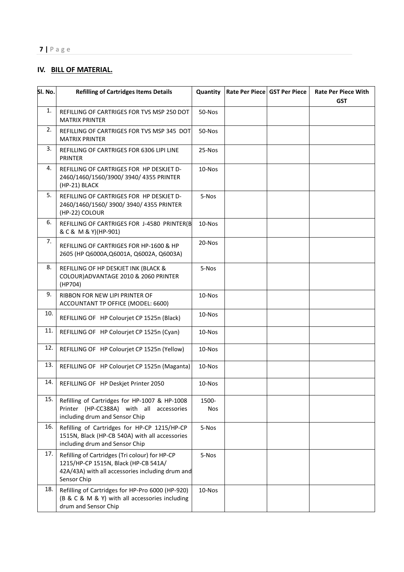## IV. BILL OF MATERIAL.

| SI. No. | <b>Refilling of Cartridges Items Details</b>                                                                                                              | Quantity            | Rate Per Piece GST Per Piece | <b>Rate Per Piece With</b><br><b>GST</b> |
|---------|-----------------------------------------------------------------------------------------------------------------------------------------------------------|---------------------|------------------------------|------------------------------------------|
| 1.      | REFILLING OF CARTRIGES FOR TVS MSP 250 DOT<br><b>MATRIX PRINTER</b>                                                                                       | 50-Nos              |                              |                                          |
| 2.      | REFILLING OF CARTRIGES FOR TVS MSP 345 DOT<br><b>MATRIX PRINTER</b>                                                                                       | 50-Nos              |                              |                                          |
| 3.      | REFILLING OF CARTRIGES FOR 6306 LIPI LINE<br>PRINTER                                                                                                      | 25-Nos              |                              |                                          |
| 4.      | REFILLING OF CARTRIGES FOR HP DESKJET D-<br>2460/1460/1560/3900/3940/4355 PRINTER<br>(HP-21) BLACK                                                        | $10$ -Nos           |                              |                                          |
| 5.      | REFILLING OF CARTRIGES FOR HP DESKJET D-<br>2460/1460/1560/3900/3940/4355 PRINTER<br>(HP-22) COLOUR                                                       | 5-Nos               |                              |                                          |
| 6.      | REFILLING OF CARTRIGES FOR J-4580 PRINTER(B<br>& C & M & Y)(HP-901)                                                                                       | $10$ -Nos           |                              |                                          |
| 7.      | REFILLING OF CARTRIGES FOR HP-1600 & HP<br>2605 (HP Q6000A, Q6001A, Q6002A, Q6003A)                                                                       | 20-Nos              |                              |                                          |
| 8.      | REFILLING OF HP DESKJET INK (BLACK &<br>COLOUR) ADVANTAGE 2010 & 2060 PRINTER<br>(HP704)                                                                  | 5-Nos               |                              |                                          |
| 9.      | RIBBON FOR NEW LIPI PRINTER OF<br>ACCOUNTANT TP OFFICE (MODEL: 6600)                                                                                      | $10$ -Nos           |                              |                                          |
| 10.     | REFILLING OF HP Colourjet CP 1525n (Black)                                                                                                                | 10-Nos              |                              |                                          |
| 11.     | REFILLING OF HP Colourjet CP 1525n (Cyan)                                                                                                                 | $10$ -Nos           |                              |                                          |
| 12.     | REFILLING OF HP Colourjet CP 1525n (Yellow)                                                                                                               | 10-Nos              |                              |                                          |
| 13.     | REFILLING OF HP Colourjet CP 1525n (Maganta)                                                                                                              | 10-Nos              |                              |                                          |
| 14.     | REFILLING OF HP Deskjet Printer 2050                                                                                                                      | 10-Nos              |                              |                                          |
| 15.     | Refilling of Cartridges for HP-1007 & HP-1008<br>Printer (HP-CC388A) with all accessories<br>including drum and Sensor Chip                               | 1500-<br><b>Nos</b> |                              |                                          |
| 16.     | Refilling of Cartridges for HP-CP 1215/HP-CP<br>1515N, Black (HP-CB 540A) with all accessories<br>including drum and Sensor Chip                          | 5-Nos               |                              |                                          |
| 17.     | Refilling of Cartridges (Tri colour) for HP-CP<br>1215/HP-CP 1515N, Black (HP-CB 541A/<br>42A/43A) with all accessories including drum and<br>Sensor Chip | 5-Nos               |                              |                                          |
| 18.     | Refilling of Cartridges for HP-Pro 6000 (HP-920)<br>(B & C & M & Y) with all accessories including<br>drum and Sensor Chip                                | 10-Nos              |                              |                                          |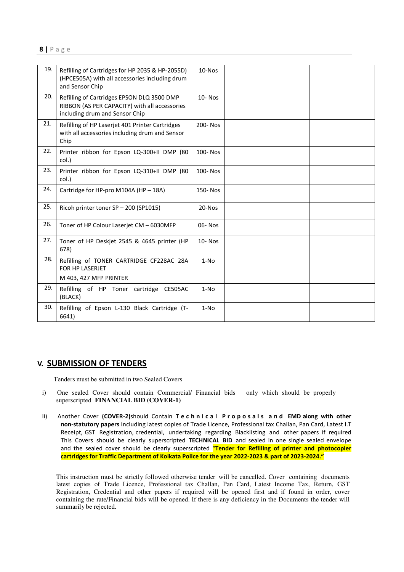| 19. | Refilling of Cartridges for HP 2035 & HP-2055D)<br>(HPCE505A) with all accessories including drum<br>and Sensor Chip          | 10-Nos     |  |  |
|-----|-------------------------------------------------------------------------------------------------------------------------------|------------|--|--|
| 20. | Refilling of Cartridges EPSON DLQ 3500 DMP<br>RIBBON (AS PER CAPACITY) with all accessories<br>including drum and Sensor Chip | $10 - Nos$ |  |  |
| 21. | Refilling of HP Laserjet 401 Printer Cartridges<br>with all accessories including drum and Sensor<br>Chip                     | 200-Nos    |  |  |
| 22. | Printer ribbon for Epson LQ-300+II DMP (80<br>col.)                                                                           | 100-Nos    |  |  |
| 23. | Printer ribbon for Epson LQ-310+II DMP (80<br>col.)                                                                           | 100-Nos    |  |  |
| 24. | Cartridge for HP-pro M104A (HP - 18A)                                                                                         | 150-Nos    |  |  |
| 25. | Ricoh printer toner SP - 200 (SP1015)                                                                                         | 20-Nos     |  |  |
| 26. | Toner of HP Colour Laserjet CM - 6030MFP                                                                                      | 06-Nos     |  |  |
| 27. | Toner of HP Deskjet 2545 & 4645 printer (HP<br>678)                                                                           | $10 - Nos$ |  |  |
| 28. | Refilling of TONER CARTRIDGE CF228AC 28A<br>FOR HP LASERJET<br>M 403, 427 MFP PRINTER                                         | $1-NO$     |  |  |
| 29. | Refilling of HP Toner cartridge CE505AC<br>(BLACK)                                                                            | $1-NO$     |  |  |
| 30. | Refilling of Epson L-130 Black Cartridge (T-<br>6641)                                                                         | $1-NO$     |  |  |

#### V. SUBMISSION OF TENDERS

Tenders must be submitted in two Sealed Covers

- i) One sealed Cover should contain Commercial/ Financial bids only which should be properly superscripted **FINANCIAL BID (COVER-1)**
- ii) Another Cover (COVER-2)should Contain Technical Proposals and EMD along with other non-statutory papers including latest copies of Trade Licence, Professional tax Challan, Pan Card, Latest I.T Receipt, GST Registration, credential, undertaking regarding Blacklisting and other papers if required This Covers should be clearly superscripted TECHNICAL BID and sealed in one single sealed envelope and the sealed cover should be clearly superscripted "Tender for Refilling of printer and photocopier cartridges for Traffic Department of Kolkata Police for the year 2022-2023 & part of 2023-2024."

This instruction must be strictly followed otherwise tender will be cancelled. Cover containing documents latest copies of Trade Licence, Professional tax Challan, Pan Card, Latest Income Tax, Return, GST Registration, Credential and other papers if required will be opened first and if found in order, cover containing the rate/Financial bids will be opened. If there is any deficiency in the Documents the tender will summarily be rejected.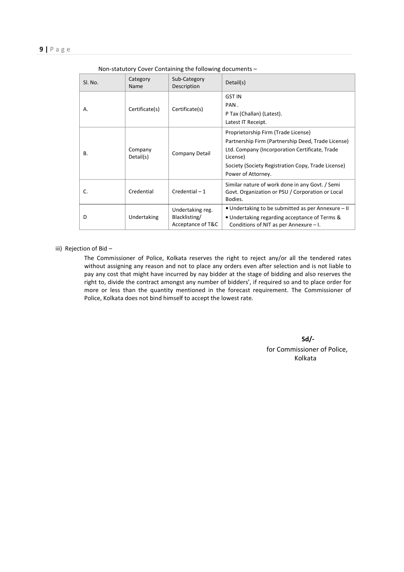| SI. No. | Category<br>Name     | Sub-Category<br>Description                            | Detail(s)                                                                                                                                                                                                                           |
|---------|----------------------|--------------------------------------------------------|-------------------------------------------------------------------------------------------------------------------------------------------------------------------------------------------------------------------------------------|
| Α.      | Certificate(s)       | Certificate(s)                                         | <b>GST IN</b><br>PAN.<br>P Tax (Challan) (Latest).<br>Latest IT Receipt.                                                                                                                                                            |
| В.      | Company<br>Detail(s) | Company Detail                                         | Proprietorship Firm (Trade License)<br>Partnership Firm (Partnership Deed, Trade License)<br>Ltd. Company (Incorporation Certificate, Trade<br>License)<br>Society (Society Registration Copy, Trade License)<br>Power of Attorney. |
| C.      | Credential           | $Credential - 1$                                       | Similar nature of work done in any Govt. / Semi<br>Govt. Organization or PSU / Corporation or Local<br>Bodies.                                                                                                                      |
| D       | Undertaking          | Undertaking reg.<br>Blacklisting/<br>Acceptance of T&C | • Undertaking to be submitted as per Annexure – II<br>• Undertaking regarding acceptance of Terms &<br>Conditions of NIT as per Annexure $-1$ .                                                                                     |

| Non-statutory Cover Containing the following documents - |  |  |  |  |  |  |  |
|----------------------------------------------------------|--|--|--|--|--|--|--|
|----------------------------------------------------------|--|--|--|--|--|--|--|

iii) Rejection of Bid –

 The Commissioner of Police, Kolkata reserves the right to reject any/or all the tendered rates without assigning any reason and not to place any orders even after selection and is not liable to pay any cost that might have incurred by nay bidder at the stage of bidding and also reserves the right to, divide the contract amongst any number of bidders', if required so and to place order for more or less than the quantity mentioned in the forecast requirement. The Commissioner of Police, Kolkata does not bind himself to accept the lowest rate.

> Sd/ for Commissioner of Police, Kolkata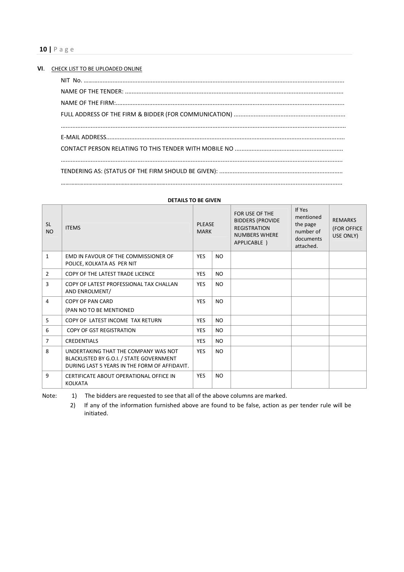| VI. I | CHECK LIST TO BE UPLOADED ONLINE |
|-------|----------------------------------|
|       |                                  |
|       |                                  |
|       |                                  |
|       |                                  |
|       |                                  |
|       |                                  |
|       |                                  |
|       |                                  |
|       |                                  |
|       |                                  |

| <b>SL</b><br><b>NO</b> | <b>ITEMS</b>                                                                                                                      | <b>PLEASE</b><br><b>MARK</b> |           | FOR USE OF THE<br><b>BIDDERS (PROVIDE</b><br><b>REGISTRATION</b><br><b>NUMBERS WHERE</b><br>APPLICABLE ) | If Yes<br>mentioned<br>the page<br>number of<br>documents<br>attached. | <b>REMARKS</b><br>(FOR OFFICE<br>USE ONLY) |
|------------------------|-----------------------------------------------------------------------------------------------------------------------------------|------------------------------|-----------|----------------------------------------------------------------------------------------------------------|------------------------------------------------------------------------|--------------------------------------------|
| $\mathbf{1}$           | EMD IN FAVOUR OF THE COMMISSIONER OF<br>POLICE, KOLKATA AS PER NIT                                                                | <b>YES</b>                   | <b>NO</b> |                                                                                                          |                                                                        |                                            |
| $\overline{2}$         | COPY OF THE LATEST TRADE LICENCE                                                                                                  | <b>YES</b>                   | NO.       |                                                                                                          |                                                                        |                                            |
| 3                      | COPY OF LATEST PROFESSIONAL TAX CHALLAN<br>AND ENROLMENT/                                                                         | <b>YES</b>                   | NO.       |                                                                                                          |                                                                        |                                            |
| $\overline{4}$         | COPY OF PAN CARD<br>(PAN NO TO BE MENTIONED                                                                                       | <b>YES</b>                   | <b>NO</b> |                                                                                                          |                                                                        |                                            |
| 5                      | COPY OF LATEST INCOME TAX RETURN                                                                                                  | <b>YES</b>                   | NO.       |                                                                                                          |                                                                        |                                            |
| 6                      | <b>COPY OF GST REGISTRATION</b>                                                                                                   | <b>YES</b>                   | NO.       |                                                                                                          |                                                                        |                                            |
| 7                      | <b>CREDENTIALS</b>                                                                                                                | <b>YES</b>                   | <b>NO</b> |                                                                                                          |                                                                        |                                            |
| 8                      | UNDERTAKING THAT THE COMPANY WAS NOT<br>BLACKLISTED BY G.O.I. / STATE GOVERNMENT<br>DURING LAST 5 YEARS IN THE FORM OF AFFIDAVIT. | <b>YES</b>                   | <b>NO</b> |                                                                                                          |                                                                        |                                            |
| 9                      | CERTIFICATE ABOUT OPERATIONAL OFFICE IN<br><b>KOLKATA</b>                                                                         | <b>YES</b>                   | <b>NO</b> |                                                                                                          |                                                                        |                                            |

#### DETAILS TO BE GIVEN

Note: 1) The bidders are requested to see that all of the above columns are marked.

2) If any of the information furnished above are found to be false, action as per tender rule will be initiated.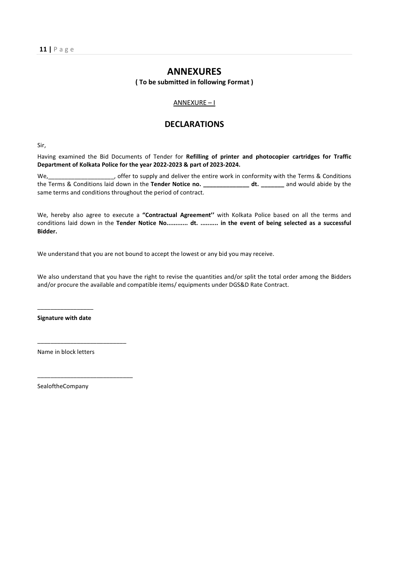### ANNEXURES

( To be submitted in following Format )

#### ANNEXURE – I

#### DECLARATIONS

Sir,

Having examined the Bid Documents of Tender for Refilling of printer and photocopier cartridges for Traffic Department of Kolkata Police for the year 2022-2023 & part of 2023-2024.

We, the studies offer to supply and deliver the entire work in conformity with the Terms & Conditions the Terms & Conditions laid down in the Tender Notice no. \_\_\_\_\_\_\_\_\_\_\_\_\_\_\_ dt. \_\_\_\_\_\_\_\_ and would abide by the same terms and conditions throughout the period of contract.

We, hereby also agree to execute a "Contractual Agreement" with Kolkata Police based on all the terms and conditions laid down in the Tender Notice No............. dt. .......... in the event of being selected as a successful Bidder.

We understand that you are not bound to accept the lowest or any bid you may receive.

We also understand that you have the right to revise the quantities and/or split the total order among the Bidders and/or procure the available and compatible items/ equipments under DGS&D Rate Contract.

 $\frac{1}{2}$  ,  $\frac{1}{2}$  ,  $\frac{1}{2}$  ,  $\frac{1}{2}$  ,  $\frac{1}{2}$  ,  $\frac{1}{2}$  ,  $\frac{1}{2}$  ,  $\frac{1}{2}$  ,  $\frac{1}{2}$  ,  $\frac{1}{2}$  ,  $\frac{1}{2}$ Signature with date

Name in block letters

\_\_\_\_\_\_\_\_\_\_\_\_\_\_\_\_\_\_\_\_\_\_\_\_\_\_\_

\_\_\_\_\_\_\_\_\_\_\_\_\_\_\_\_\_\_\_\_\_\_\_\_\_\_\_\_\_

SealoftheCompany